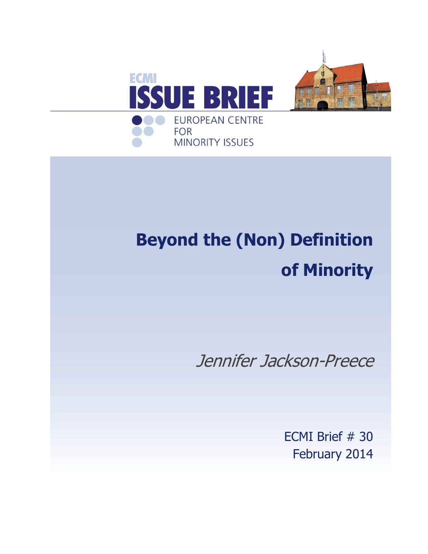

# **Beyond the (Non) Definition of Minority**

Jennifer Jackson-Preece

ECMI Brief # 30 February 2014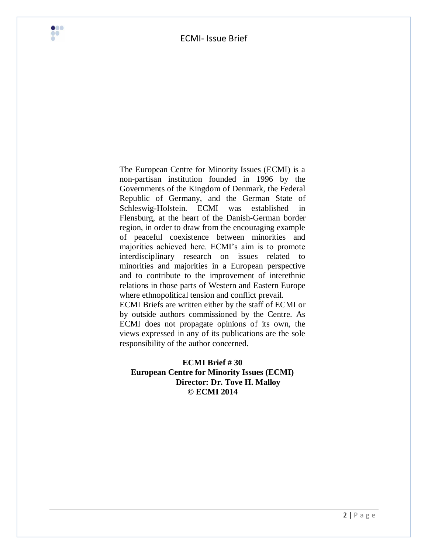

The European Centre for Minority Issues (ECMI) is a non-partisan institution founded in 1996 by the Governments of the Kingdom of Denmark, the Federal Republic of Germany, and the German State of Schleswig-Holstein. ECMI was established in Flensburg, at the heart of the Danish-German border region, in order to draw from the encouraging example of peaceful coexistence between minorities and majorities achieved here. ECMI's aim is to promote interdisciplinary research on issues related to minorities and majorities in a European perspective and to contribute to the improvement of interethnic relations in those parts of Western and Eastern Europe where ethnopolitical tension and conflict prevail.

ECMI Briefs are written either by the staff of ECMI or by outside authors commissioned by the Centre. As ECMI does not propagate opinions of its own, the views expressed in any of its publications are the sole responsibility of the author concerned.

#### **ECMI Brief # 30 European Centre for Minority Issues (ECMI) Director: Dr. Tove H. Malloy © ECMI 2014**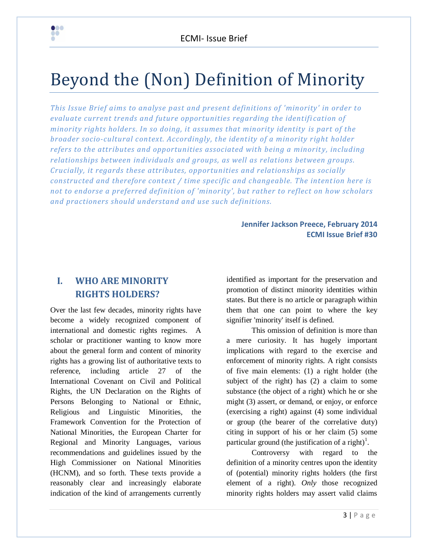# Beyond the (Non) Definition of Minority

*This Issue Brief aims to analyse past and present definitions of 'minority' in order to evaluate current trends and future opportunities regarding the identifi cation of minority rights holders. In so doing, it assumes that minority identity is part of the broader socio-cultural context. Accordingly, the identity of a minority right holder refers to the attributes and opportunities associated with being a minority, including relationships between individuals and groups, as well as relations between groups. Crucially, it regards these attributes, opportunities and relationships as socially constructed and therefore context / time specific and changeable. The intention here is not to endorse a preferred definition of 'minority', but rather to reflect on how scholars and practioners should understand and use such definitions.*

#### **Jennifer Jackson Preece, February 2014 ECMI Issue Brief #30**

# **I. WHO ARE MINORITY RIGHTS HOLDERS?**

 $\bullet\bullet\bullet$ ad<br>A

Over the last few decades, minority rights have become a widely recognized component of international and domestic rights regimes. A scholar or practitioner wanting to know more about the general form and content of minority rights has a growing list of authoritative texts to reference, including article 27 of the International Covenant on Civil and Political Rights, the UN Declaration on the Rights of Persons Belonging to National or Ethnic, Religious and Linguistic Minorities, the Framework Convention for the Protection of National Minorities, the European Charter for Regional and Minority Languages, various recommendations and guidelines issued by the High Commissioner on National Minorities (HCNM), and so forth. These texts provide a reasonably clear and increasingly elaborate indication of the kind of arrangements currently

identified as important for the preservation and promotion of distinct minority identities within states. But there is no article or paragraph within them that one can point to where the key signifier 'minority' itself is defined.

This omission of definition is more than a mere curiosity. It has hugely important implications with regard to the exercise and enforcement of minority rights. A right consists of five main elements: (1) a right holder (the subject of the right) has (2) a claim to some substance (the object of a right) which he or she might (3) assert, or demand, or enjoy, or enforce (exercising a right) against (4) some individual or group (the bearer of the correlative duty) citing in support of his or her claim (5) some particular ground (the justification of a right)<sup>1</sup>.

Controversy with regard to the definition of a minority centres upon the identity of (potential) minority rights holders (the first element of a right). *Only* those recognized minority rights holders may assert valid claims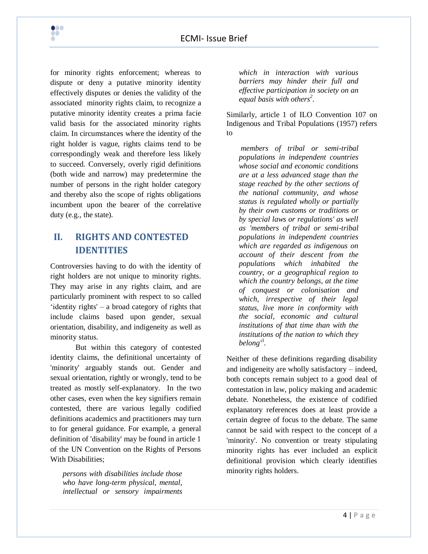for minority rights enforcement; whereas to dispute or deny a putative minority identity effectively disputes or denies the validity of the associated minority rights claim, to recognize a putative minority identity creates a prima facie valid basis for the associated minority rights claim. In circumstances where the identity of the right holder is vague, rights claims tend to be correspondingly weak and therefore less likely to succeed. Conversely, overly rigid definitions (both wide and narrow) may predetermine the number of persons in the right holder category and thereby also the scope of rights obligations incumbent upon the bearer of the correlative duty (e.g., the state).

 $\bullet\bullet\bullet$ **PO** 

# **II. RIGHTS AND CONTESTED IDENTITIES**

Controversies having to do with the identity of right holders are not unique to minority rights. They may arise in any rights claim, and are particularly prominent with respect to so called ‗identity rights' – a broad category of rights that include claims based upon gender, sexual orientation, disability, and indigeneity as well as minority status.

But within this category of contested identity claims, the definitional uncertainty of 'minority' arguably stands out. Gender and sexual orientation, rightly or wrongly, tend to be treated as mostly self-explanatory. In the two other cases, even when the key signifiers remain contested, there are various legally codified definitions academics and practitioners may turn to for general guidance. For example, a general definition of 'disability' may be found in article 1 of the UN Convention on the Rights of Persons With Disabilities;

*persons with disabilities include those who have long-term physical, mental, intellectual or sensory impairments*  *which in interaction with various barriers may hinder their full and effective participation in society on an equal basis with others<sup>2</sup> .*

Similarly, article 1 of ILO Convention 107 on Indigenous and Tribal Populations (1957) refers to

*members of tribal or semi-tribal populations in independent countries whose social and economic conditions are at a less advanced stage than the stage reached by the other sections of the national community, and whose status is regulated wholly or partially by their own customs or traditions or by special laws or regulations' as well as 'members of tribal or semi-tribal populations in independent countries which are regarded as indigenous on account of their descent from the populations which inhabited the country, or a geographical region to which the country belongs, at the time of conquest or colonisation and which, irrespective of their legal status, live more in conformity with the social, economic and cultural institutions of that time than with the institutions of the nation to which they belong'*<sup>3</sup> .

Neither of these definitions regarding disability and indigeneity are wholly satisfactory – indeed, both concepts remain subject to a good deal of contestation in law, policy making and academic debate. Nonetheless, the existence of codified explanatory references does at least provide a certain degree of focus to the debate. The same cannot be said with respect to the concept of a 'minority'. No convention or treaty stipulating minority rights has ever included an explicit definitional provision which clearly identifies minority rights holders.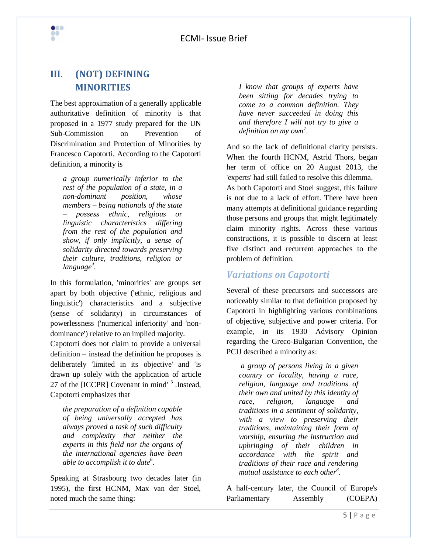# **III. (NOT) DEFINING MINORITIES**

 $\bullet\bullet\bullet$ ad<br>A

The best approximation of a generally applicable authoritative definition of minority is that proposed in a 1977 study prepared for the UN Sub-Commission on Prevention of Discrimination and Protection of Minorities by Francesco Capotorti. According to the Capotorti definition, a minority is

*a group numerically inferior to the rest of the population of a state, in a non-dominant position, whose members – being nationals of the state – possess ethnic, religious or linguistic characteristics differing from the rest of the population and show, if only implicitly, a sense of solidarity directed towards preserving their culture, traditions, religion or language 4 .*

In this formulation, 'minorities' are groups set apart by both objective ('ethnic, religious and linguistic') characteristics and a subjective (sense of solidarity) in circumstances of powerlessness ('numerical inferiority' and 'nondominance') relative to an implied majority.

Capotorti does not claim to provide a universal definition – instead the definition he proposes is deliberately 'limited in its objective' and 'is drawn up solely with the application of article 27 of the [ICCPR] Covenant in mind'<sup>5</sup> .Instead, Capotorti emphasizes that

*the preparation of a definition capable of being universally accepted has always proved a task of such difficulty and complexity that neither the experts in this field nor the organs of the international agencies have been able to accomplish it to date<sup>6</sup> .*

Speaking at Strasbourg two decades later (in 1995), the first HCNM, Max van der Stoel, noted much the same thing:

*I know that groups of experts have been sitting for decades trying to come to a common definition. They have never succeeded in doing this and therefore I will not try to give a definition on my own<sup>7</sup> .*

And so the lack of definitional clarity persists. When the fourth HCNM, Astrid Thors, began her term of office on 20 August 2013, the 'experts' had still failed to resolve this dilemma. As both Capotorti and Stoel suggest, this failure is not due to a lack of effort. There have been many attempts at definitional guidance regarding those persons and groups that might legitimately claim minority rights. Across these various constructions, it is possible to discern at least five distinct and recurrent approaches to the problem of definition.

## *Variations on Capotorti*

Several of these precursors and successors are noticeably similar to that definition proposed by Capotorti in highlighting various combinations of objective, subjective and power criteria. For example, in its 1930 Advisory Opinion regarding the Greco-Bulgarian Convention, the PCIJ described a minority as:

*a group of persons living in a given country or locality, having a race, religion, language and traditions of their own and united by this identity of race, religion, language and traditions in a sentiment of solidarity, with a view to preserving their traditions, maintaining their form of worship, ensuring the instruction and upbringing of their children in accordance with the spirit and traditions of their race and rendering mutual assistance to each other<sup>8</sup> .*

A half-century later, the Council of Europe's Parliamentary Assembly (COEPA)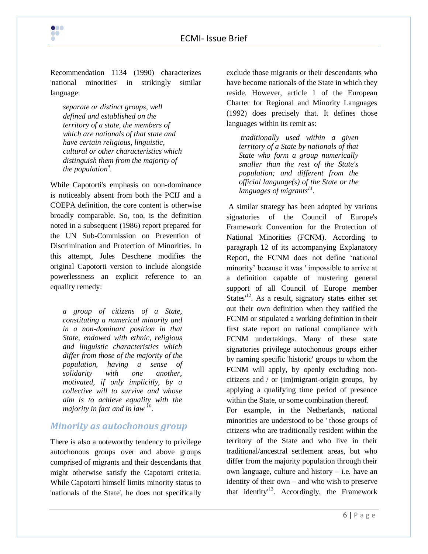

Recommendation 1134 (1990) characterizes 'national minorities' in strikingly similar language:

*separate or distinct groups, well defined and established on the territory of a state, the members of which are nationals of that state and have certain religious, linguistic, cultural or other characteristics which distinguish them from the majority of the population<sup>9</sup> .*

While Capotorti's emphasis on non-dominance is noticeably absent from both the PCIJ and a COEPA definition, the core content is otherwise broadly comparable. So, too, is the definition noted in a subsequent (1986) report prepared for the UN Sub-Commission on Prevention of Discrimination and Protection of Minorities. In this attempt, Jules Deschene modifies the original Capotorti version to include alongside powerlessness an explicit reference to an equality remedy:

*a group of citizens of a State, constituting a numerical minority and in a non-dominant position in that State, endowed with ethnic, religious and linguistic characteristics which differ from those of the majority of the population, having a sense of solidarity with one another, motivated, if only implicitly, by a collective will to survive and whose aim is to achieve equality with the majority in fact and in law <sup>10</sup> .*

#### *Minority as autochonous group*

There is also a noteworthy tendency to privilege autochonous groups over and above groups comprised of migrants and their descendants that might otherwise satisfy the Capotorti criteria. While Capotorti himself limits minority status to 'nationals of the State', he does not specifically

exclude those migrants or their descendants who have become nationals of the State in which they reside. However, article 1 of the European Charter for Regional and Minority Languages (1992) does precisely that. It defines those languages within its remit as:

*traditionally used within a given territory of a State by nationals of that State who form a group numerically smaller than the rest of the State's population; and different from the official language(s) of the State or the languages of migrants<sup>11</sup> .*

A similar strategy has been adopted by various signatories of the Council of Europe's Framework Convention for the Protection of National Minorities (FCNM). According to paragraph 12 of its accompanying Explanatory Report, the FCNM does not define 'national minority' because it was ' impossible to arrive at a definition capable of mustering general support of all Council of Europe member States<sup> $12$ </sup>. As a result, signatory states either set out their own definition when they ratified the FCNM or stipulated a working definition in their first state report on national compliance with FCNM undertakings. Many of these state signatories privilege autochonous groups either by naming specific 'historic' groups to whom the FCNM will apply, by openly excluding noncitizens and / or (im)migrant-origin groups, by applying a qualifying time period of presence within the State, or some combination thereof.

For example, in the Netherlands, national minorities are understood to be ' those groups of citizens who are traditionally resident within the territory of the State and who live in their traditional/ancestral settlement areas, but who differ from the majority population through their own language, culture and history – i.e. have an identity of their own – and who wish to preserve that identity<sup>13</sup>. Accordingly, the Framework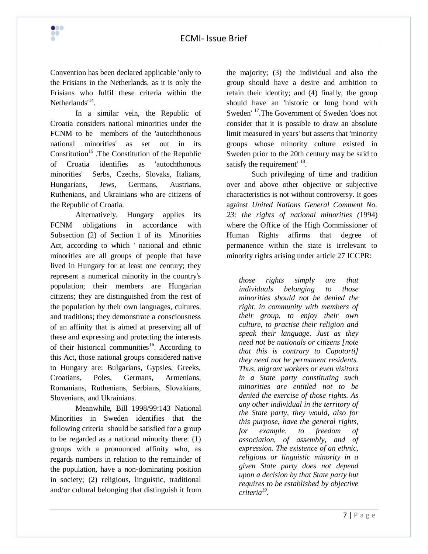Convention has been declared applicable 'only to the Frisians in the Netherlands, as it is only the Frisians who fulfil these criteria within the Netherlands'<sup>14</sup>.

 $\bullet\bullet\bullet$ **PO** 

In a similar vein, the Republic of Croatia considers national minorities under the FCNM to be members of the 'autochthonous national minorities' as set out in its Constitution<sup>15</sup>. The Constitution of the Republic of Croatia identifies as 'autochthonous minorities' Serbs, Czechs, Slovaks, Italians, Hungarians, Jews, Germans, Austrians, Ruthenians, and Ukrainians who are citizens of the Republic of Croatia.

Alternatively, Hungary applies its FCNM obligations in accordance with Subsection (2) of Section 1 of its Minorities Act, according to which ' national and ethnic minorities are all groups of people that have lived in Hungary for at least one century; they represent a numerical minority in the country's population; their members are Hungarian citizens; they are distinguished from the rest of the population by their own languages, cultures, and traditions; they demonstrate a consciousness of an affinity that is aimed at preserving all of these and expressing and protecting the interests of their historical communities<sup>16</sup>. According to this Act, those national groups considered native to Hungary are: Bulgarians, Gypsies, Greeks, Croatians, Poles, Germans, Armenians, Romanians, Ruthenians, Serbians, Slovakians, Slovenians, and Ukrainians.

Meanwhile, Bill 1998/99:143 National Minorities in Sweden identifies that the following criteria should be satisfied for a group to be regarded as a national minority there: (1) groups with a pronounced affinity who, as regards numbers in relation to the remainder of the population, have a non-dominating position in society; (2) religious, linguistic, traditional and/or cultural belonging that distinguish it from

the majority; (3) the individual and also the group should have a desire and ambition to retain their identity; and (4) finally, the group should have an 'historic or long bond with Sweden' <sup>17</sup>.The Government of Sweden 'does not consider that it is possible to draw an absolute limit measured in years' but asserts that 'minority groups whose minority culture existed in Sweden prior to the 20th century may be said to satisfy the requirement' <sup>18</sup>.

Such privileging of time and tradition over and above other objective or subjective characteristics is not without controversy. It goes against *United Nations General Comment No. 23: the rights of national minorities (*1994) where the Office of the High Commissioner of Human Rights affirms that degree of permanence within the state is irrelevant to minority rights arising under article 27 ICCPR:

*those rights simply are that individuals belonging to those minorities should not be denied the right, in community with members of their group, to enjoy their own culture, to practise their religion and speak their language. Just as they need not be nationals or citizens [note that this is contrary to Capotorti] they need not be permanent residents. Thus, migrant workers or even visitors in a State party constituting such minorities are entitled not to be denied the exercise of those rights. As any other individual in the territory of the State party, they would, also for this purpose, have the general rights, for example, to freedom of association, of assembly, and of expression. The existence of an ethnic, religious or linguistic minority in a given State party does not depend upon a decision by that State party but requires to be established by objective criteria<sup>19</sup> .*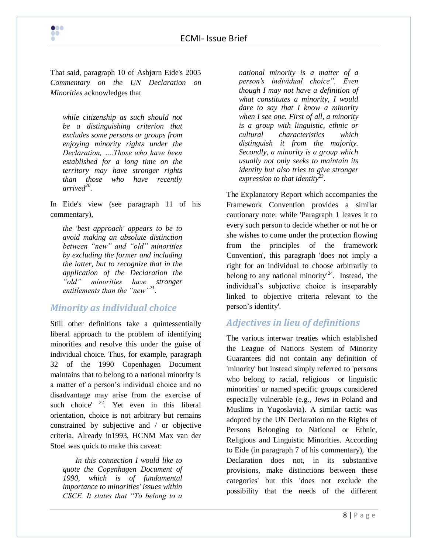That said, paragraph 10 of Asbjørn Eide's 2005 *Commentary on the UN Declaration on Minorities* acknowledges that

 $\bullet\bullet\bullet$ **PO** 

> *while citizenship as such should not be a distinguishing criterion that excludes some persons or groups from enjoying minority rights under the Declaration, ….Those who have been established for a long time on the territory may have stronger rights than those who have recently arrived<sup>20</sup> .*

In Eide's view (see paragraph 11 of his commentary),

*the 'best approach' appears to be to avoid making an absolute distinction between "new" and "old" minorities by excluding the former and including the latter, but to recognize that in the application of the Declaration the "old" minorities have stronger entitlements than the "new"<sup>21</sup> .*

#### *Minority as individual choice*

Still other definitions take a quintessentially liberal approach to the problem of identifying minorities and resolve this under the guise of individual choice. Thus, for example, paragraph 32 of the 1990 Copenhagen Document maintains that to belong to a national minority is a matter of a person's individual choice and no disadvantage may arise from the exercise of such choice'  $2^2$ . Yet even in this liberal orientation, choice is not arbitrary but remains constrained by subjective and / or objective criteria. Already in1993, HCNM Max van der Stoel was quick to make this caveat:

*In this connection I would like to quote the Copenhagen Document of 1990, which is of fundamental importance to minorities' issues within CSCE. It states that "To belong to a* 

*national minority is a matter of a person's individual choice". Even though I may not have a definition of what constitutes a minority, I would dare to say that I know a minority when I see one. First of all, a minority is a group with linguistic, ethnic or cultural characteristics which distinguish it from the majority. Secondly, a minority is a group which usually not only seeks to maintain its identity but also tries to give stronger expression to that identity<sup>23</sup> .*

The Explanatory Report which accompanies the Framework Convention provides a similar cautionary note: while 'Paragraph 1 leaves it to every such person to decide whether or not he or she wishes to come under the protection flowing from the principles of the framework Convention', this paragraph 'does not imply a right for an individual to choose arbitrarily to belong to any national minority<sup> $24$ </sup>. Instead, 'the individual's subjective choice is inseparably linked to objective criteria relevant to the person's identity'.

# *Adjectives in lieu of definitions*

The various interwar treaties which established the League of Nations System of Minority Guarantees did not contain any definition of 'minority' but instead simply referred to 'persons who belong to racial, religious or linguistic minorities' or named specific groups considered especially vulnerable (e.g., Jews in Poland and Muslims in Yugoslavia). A similar tactic was adopted by the UN Declaration on the Rights of Persons Belonging to National or Ethnic, Religious and Linguistic Minorities. According to Eide (in paragraph 7 of his commentary), 'the Declaration does not, in its substantive provisions, make distinctions between these categories' but this 'does not exclude the possibility that the needs of the different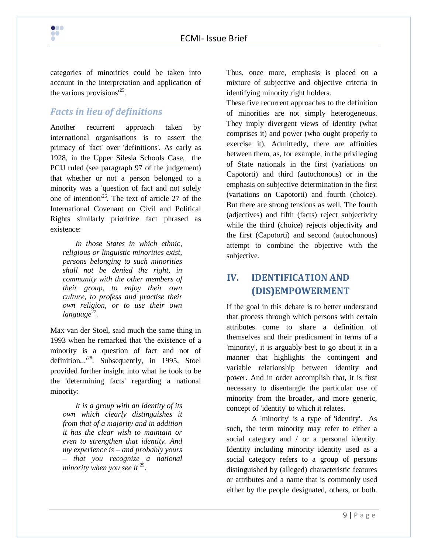

categories of minorities could be taken into account in the interpretation and application of the various provisions<sup>125</sup>.

# *Facts in lieu of definitions*

Another recurrent approach taken by international organisations is to assert the primacy of 'fact' over 'definitions'. As early as 1928, in the Upper Silesia Schools Case, the PCIJ ruled (see paragraph 97 of the judgement) that whether or not a person belonged to a minority was a 'question of fact and not solely one of intention<sup>126</sup>. The text of article 27 of the International Covenant on Civil and Political Rights similarly prioritize fact phrased as existence:

*In those States in which ethnic, religious or linguistic minorities exist, persons belonging to such minorities shall not be denied the right, in community with the other members of their group, to enjoy their own culture, to profess and practise their own religion, or to use their own*  language<sup>27</sup>.

Max van der Stoel, said much the same thing in 1993 when he remarked that 'the existence of a minority is a question of fact and not of definition...<sup>28</sup>. Subsequently, in 1995, Stoel provided further insight into what he took to be the 'determining facts' regarding a national minority:

*It is a group with an identity of its own which clearly distinguishes it from that of a majority and in addition it has the clear wish to maintain or even to strengthen that identity. And my experience is – and probably yours – that you recognize a national minority when you see it* <sup>29</sup> .

Thus, once more, emphasis is placed on a mixture of subjective and objective criteria in identifying minority right holders.

These five recurrent approaches to the definition of minorities are not simply heterogeneous. They imply divergent views of identity (what comprises it) and power (who ought properly to exercise it). Admittedly, there are affinities between them, as, for example, in the privileging of State nationals in the first (variations on Capotorti) and third (autochonous) or in the emphasis on subjective determination in the first (variations on Capotorti) and fourth (choice). But there are strong tensions as well. The fourth (adjectives) and fifth (facts) reject subjectivity while the third (choice) rejects objectivity and the first (Capotorti) and second (autochonous) attempt to combine the objective with the subjective.

# **IV. IDENTIFICATION AND (DIS)EMPOWERMENT**

If the goal in this debate is to better understand that process through which persons with certain attributes come to share a definition of themselves and their predicament in terms of a 'minority', it is arguably best to go about it in a manner that highlights the contingent and variable relationship between identity and power. And in order accomplish that, it is first necessary to disentangle the particular use of minority from the broader, and more generic, concept of 'identity' to which it relates.

A 'minority' is a type of 'identity'. As such, the term minority may refer to either a social category and / or a personal identity. Identity including minority identity used as a social category refers to a group of persons distinguished by (alleged) characteristic features or attributes and a name that is commonly used either by the people designated, others, or both.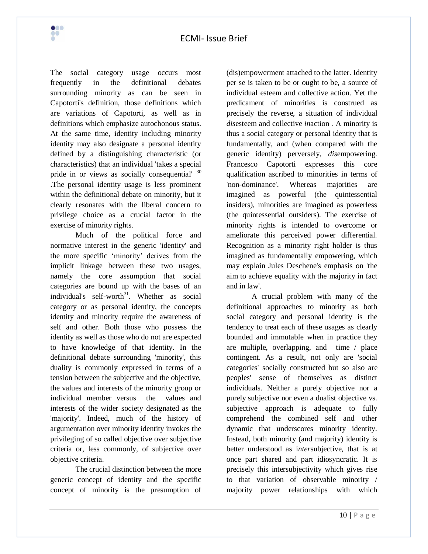

The social category usage occurs most frequently in the definitional debates surrounding minority as can be seen in Capotorti's definition, those definitions which are variations of Capotorti, as well as in definitions which emphasize autochonous status. At the same time, identity including minority identity may also designate a personal identity defined by a distinguishing characteristic (or characteristics) that an individual 'takes a special pride in or views as socially consequential' <sup>30</sup> .The personal identity usage is less prominent within the definitional debate on minority, but it clearly resonates with the liberal concern to privilege choice as a crucial factor in the exercise of minority rights.

Much of the political force and normative interest in the generic 'identity' and the more specific ‗minority' derives from the implicit linkage between these two usages, namely the core assumption that social categories are bound up with the bases of an individual's self-worth $3^1$ . Whether as social category or as personal identity, the concepts identity and minority require the awareness of self and other. Both those who possess the identity as well as those who do not are expected to have knowledge of that identity. In the definitional debate surrounding 'minority', this duality is commonly expressed in terms of a tension between the subjective and the objective, the values and interests of the minority group or individual member versus the values and interests of the wider society designated as the 'majority'. Indeed, much of the history of argumentation over minority identity invokes the privileging of so called objective over subjective criteria or, less commonly, of subjective over objective criteria.

The crucial distinction between the more generic concept of identity and the specific concept of minority is the presumption of

(dis)empowerment attached to the latter. Identity per se is taken to be or ought to be, a source of individual esteem and collective action. Yet the predicament of minorities is construed as precisely the reverse, a situation of individual *dis*esteem and collective *in*action . A minority is thus a social category or personal identity that is fundamentally, and (when compared with the generic identity) perversely, *dis*empowering. Francesco Capotorti expresses this core qualification ascribed to minorities in terms of 'non-dominance'. Whereas majorities are imagined as powerful (the quintessential insiders), minorities are imagined as powerless (the quintessential outsiders). The exercise of minority rights is intended to overcome or ameliorate this perceived power differential. Recognition as a minority right holder is thus imagined as fundamentally empowering, which may explain Jules Deschene's emphasis on 'the aim to achieve equality with the majority in fact and in law'.

A crucial problem with many of the definitional approaches to minority as both social category and personal identity is the tendency to treat each of these usages as clearly bounded and immutable when in practice they are multiple, overlapping, and time / place contingent. As a result, not only are 'social categories' socially constructed but so also are peoples' sense of themselves as distinct individuals. Neither a purely objective nor a purely subjective nor even a dualist objective vs. subjective approach is adequate to fully comprehend the combined self and other dynamic that underscores minority identity. Instead, both minority (and majority) identity is better understood as i*nter*subjective, that is at once part shared and part idiosyncratic. It is precisely this intersubjectivity which gives rise to that variation of observable minority / majority power relationships with which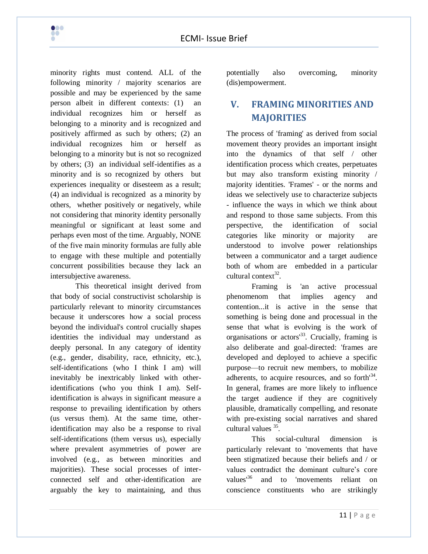

minority rights must contend. ALL of the following minority / majority scenarios are possible and may be experienced by the same person albeit in different contexts: (1) an individual recognizes him or herself as belonging to a minority and is recognized and positively affirmed as such by others; (2) an individual recognizes him or herself as belonging to a minority but is not so recognized by others; (3) an individual self-identifies as a minority and is so recognized by others but experiences inequality or disesteem as a result; (4) an individual is recognized as a minority by others, whether positively or negatively, while not considering that minority identity personally meaningful or significant at least some and perhaps even most of the time. Arguably, NONE of the five main minority formulas are fully able to engage with these multiple and potentially concurrent possibilities because they lack an intersubjective awareness.

This theoretical insight derived from that body of social constructivist scholarship is particularly relevant to minority circumstances because it underscores how a social process beyond the individual's control crucially shapes identities the individual may understand as deeply personal. In any category of identity (e.g., gender, disability, race, ethnicity, etc.), self-identifications (who I think I am) will inevitably be inextricably linked with otheridentifications (who you think I am). Selfidentification is always in significant measure a response to prevailing identification by others (us versus them). At the same time, otheridentification may also be a response to rival self-identifications (them versus us), especially where prevalent asymmetries of power are involved (e.g., as between minorities and majorities). These social processes of interconnected self and other-identification are arguably the key to maintaining, and thus

potentially also overcoming, minority (dis)empowerment.

# **V. FRAMING MINORITIES AND MAJORITIES**

The process of 'framing' as derived from social movement theory provides an important insight into the dynamics of that self / other identification process which creates, perpetuates but may also transform existing minority / majority identities. 'Frames' - or the norms and ideas we selectively use to characterize subjects - influence the ways in which we think about and respond to those same subjects. From this perspective, the identification of social categories like minority or majority are understood to involve power relationships between a communicator and a target audience both of whom are embedded in a particular cultural context $^{32}$ .

Framing is 'an active processual phenomenom that implies agency and contention...it is active in the sense that something is being done and processual in the sense that what is evolving is the work of organisations or actors $^{33}$ . Crucially, framing is also deliberate and goal-directed: 'frames are developed and deployed to achieve a specific purpose—to recruit new members, to mobilize adherents, to acquire resources, and so forth<sup>34</sup>. In general, frames are more likely to influence the target audience if they are cognitively plausible, dramatically compelling, and resonate with pre-existing social narratives and shared cultural values <sup>35</sup>.

This social-cultural dimension is particularly relevant to 'movements that have been stigmatized because their beliefs and / or values contradict the dominant culture's core values<sup>36</sup> and to 'movements reliant on conscience constituents who are strikingly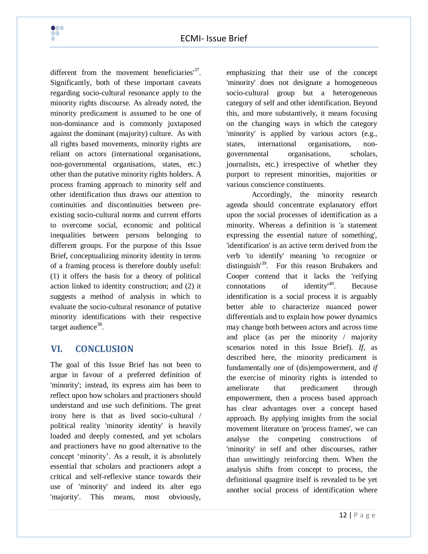

different from the movement beneficiaries<sup>137</sup>. Significantly, both of these important caveats regarding socio-cultural resonance apply to the minority rights discourse. As already noted, the minority predicament is assumed to be one of non-dominance and is commonly juxtaposed against the dominant (majority) culture. As with all rights based movements, minority rights are reliant on actors (international organisations, non-governmental organisations, states, etc.) other than the putative minority rights holders. A process framing approach to minority self and other identification thus draws our attention to continuities and discontinuities between preexisting socio-cultural norms and current efforts to overcome social, economic and political inequalities between persons belonging to different groups. For the purpose of this Issue Brief, conceptualizing minority identity in terms of a framing process is therefore doubly useful: (1) it offers the basis for a theory of political action linked to identity construction; and (2) it suggests a method of analysis in which to evaluate the socio-cultural resonance of putative minority identifications with their respective target audience<sup>38</sup>.

# **VI. CONCLUSION**

The goal of this Issue Brief has not been to argue in favour of a preferred definition of 'minority'; instead, its express aim has been to reflect upon how scholars and practioners should understand and use such definitions. The great irony here is that as lived socio-cultural / political reality 'minority identity' is heavily loaded and deeply contested, and yet scholars and practioners have no good alternative to the concept 'minority'. As a result, it is absolutely essential that scholars and practioners adopt a critical and self-reflexive stance towards their use of 'minority' and indeed its alter ego 'majority'. This means, most obviously,

emphasizing that their use of the concept 'minority' does not designate a homogeneous socio-cultural group but a heterogeneous category of self and other identification. Beyond this, and more substantively, it means focusing on the changing ways in which the category 'minority' is applied by various actors (e.g., states, international organisations, nongovernmental organisations, scholars, journalists, etc.) irrespective of whether they purport to represent minorities, majorities or various conscience constituents.

Accordingly, the minority research agenda should concentrate explanatory effort upon the social processes of identification as a minority. Whereas a definition is 'a statement expressing the essential nature of something', 'identification' is an active term derived from the verb 'to identify' meaning 'to recognize or distinguish<sup>39</sup>. For this reason Brubakers and Cooper contend that it lacks the 'reifying connotations of identity'<sup>40</sup>. Because identification is a social process it is arguably better able to characterize nuanced power differentials and to explain how power dynamics may change both between actors and across time and place (as per the minority / majority scenarios noted in this Issue Brief). *If*, as described here, the minority predicament is fundamentally one of (dis)empowerment, and *if* the exercise of minority rights is intended to ameliorate that predicament through empowerment, then a process based approach has clear advantages over a concept based approach. By applying insights from the social movement literature on 'process frames', we can analyse the competing constructions of 'minority' in self and other discourses, rather than unwittingly reinforcing them. When the analysis shifts from concept to process, the definitional quagmire itself is revealed to be yet another social process of identification where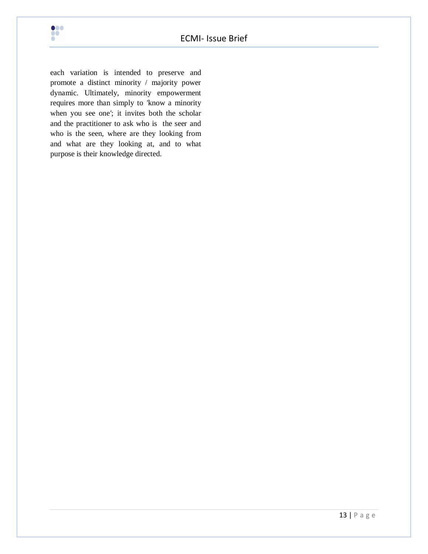

each variation is intended to preserve and promote a distinct minority / majority power dynamic. Ultimately, minority empowerment requires more than simply to *'*know a minority when you see one*'*; it invites both the scholar and the practitioner to ask who is the seer and who is the seen, where are they looking from and what are they looking at, and to what purpose is their knowledge directed.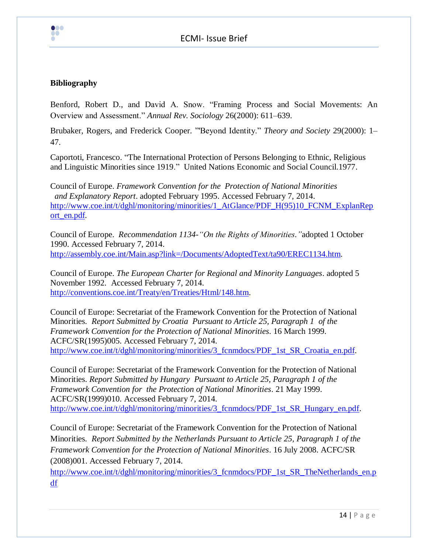

#### **Bibliography**

Benford, Robert D., and David A. Snow. "Framing Process and Social Movements: An Overview and Assessment.‖ *Annual Rev. Sociology* 26(2000): 611–639.

Brubaker, Rogers, and Frederick Cooper. "Beyond Identity." *Theory and Society* 29(2000): 1– 47.

Caportoti, Francesco. "The International Protection of Persons Belonging to Ethnic, Religious and Linguistic Minorities since 1919." United Nations Economic and Social Council.1977.

Council of Europe. *Framework Convention for the Protection of National Minorities and Explanatory Report*. adopted February 1995. Accessed February 7, 2014. [http://www.coe.int/t/dghl/monitoring/minorities/1\\_AtGlance/PDF\\_H\(95\)10\\_FCNM\\_ExplanRep](http://www.coe.int/t/dghl/monitoring/minorities/1_AtGlance/PDF_H(95)10_FCNM_ExplanReport_en.pdf) [ort\\_en.pdf.](http://www.coe.int/t/dghl/monitoring/minorities/1_AtGlance/PDF_H(95)10_FCNM_ExplanReport_en.pdf)

Council of Europe. *Recommendation 1134-"On the Rights of Minorities."*adopted 1 October 1990. Accessed February 7, 2014. [http://assembly.coe.int/Main.asp?link=/Documents/AdoptedText/ta90/EREC1134.htm.](http://assembly.coe.int/Main.asp?link=/Documents/AdoptedText/ta90/EREC1134.htm)

Council of Europe. *The European Charter for Regional and Minority Languages*. adopted 5 November 1992. Accessed February 7, 2014. [http://conventions.coe.int/Treaty/en/Treaties/Html/148.htm.](http://conventions.coe.int/Treaty/en/Treaties/Html/148.htm)

Council of Europe: Secretariat of the Framework Convention for the Protection of National Minorities. *Report Submitted by Croatia Pursuant to Article 25, Paragraph 1 of the Framework Convention for the Protection of National Minorities*. 16 March 1999. ACFC/SR(1995)005. Accessed February 7, 2014. http://www.coe.int/t/dghl/monitoring/minorities/3 fcnmdocs/PDF 1st SR Croatia en.pdf.

Council of Europe: Secretariat of the Framework Convention for the Protection of National Minorities. *Report Submitted by Hungary Pursuant to Article 25, Paragraph 1 of the Framework Convention for the Protection of National Minorities*. 21 May 1999. ACFC/SR(1999)010. Accessed February 7, 2014. http://www.coe.int/t/dghl/monitoring/minorities/3 fcnmdocs/PDF 1st SR Hungary en.pdf.

Council of Europe: Secretariat of the Framework Convention for the Protection of National Minorities. *Report Submitted by the Netherlands Pursuant to Article 25, Paragraph 1 of the Framework Convention for the Protection of National Minorities*. 16 July 2008. ACFC/SR (2008)001. Accessed February 7, 2014.

[http://www.coe.int/t/dghl/monitoring/minorities/3\\_fcnmdocs/PDF\\_1st\\_SR\\_TheNetherlands\\_en.p](http://www.coe.int/t/dghl/monitoring/minorities/3_fcnmdocs/PDF_1st_SR_TheNetherlands_en.pdf) [df](http://www.coe.int/t/dghl/monitoring/minorities/3_fcnmdocs/PDF_1st_SR_TheNetherlands_en.pdf)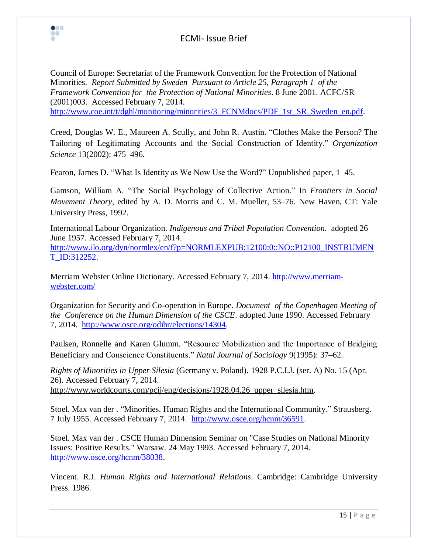

Council of Europe: Secretariat of the Framework Convention for the Protection of National Minorities. *Report Submitted by Sweden Pursuant to Article 25, Paragraph 1 of the Framework Convention for the Protection of National Minorities*. 8 June 2001. ACFC/SR (2001)003. Accessed February 7, 2014. [http://www.coe.int/t/dghl/monitoring/minorities/3\\_FCNMdocs/PDF\\_1st\\_SR\\_Sweden\\_en.pdf.](http://www.coe.int/t/dghl/monitoring/minorities/3_FCNMdocs/PDF_1st_SR_Sweden_en.pdf)

Creed, Douglas W. E., Maureen A. Scully, and John R. Austin. "Clothes Make the Person? The Tailoring of Legitimating Accounts and the Social Construction of Identity." *Organization Science* 13(2002): 475–496.

Fearon, James D. "What Is Identity as We Now Use the Word?" Unpublished paper, 1–45.

Gamson, William A. "The Social Psychology of Collective Action." In *Frontiers in Social Movement Theory,* edited by A. D. Morris and C. M. Mueller, 53–76. New Haven, CT: Yale University Press, 1992.

International Labour Organization. *Indigenous and Tribal Population Convention*. adopted 26 June 1957. Accessed February 7, 2014. [http://www.ilo.org/dyn/normlex/en/f?p=NORMLEXPUB:12100:0::NO::P12100\\_INSTRUMEN](http://www.ilo.org/dyn/normlex/en/f?p=NORMLEXPUB:12100:0::NO::P12100_INSTRUMENT_ID:312252)

[T\\_ID:312252.](http://www.ilo.org/dyn/normlex/en/f?p=NORMLEXPUB:12100:0::NO::P12100_INSTRUMENT_ID:312252)

Merriam Webster Online Dictionary. Accessed February 7, 2014. [http://www.merriam](http://www.merriam-webster.com/)[webster.com/](http://www.merriam-webster.com/)

[Organization for Security and Co-operation in Europe.](http://www.osce.org/) *Document of the Copenhagen Meeting of the Conference on the Human Dimension of the CSCE*. adopted June 1990. Accessed February 7, 2014. [http://www.osce.org/odihr/elections/14304.](http://www.osce.org/odihr/elections/14304)

Paulsen, Ronnelle and Karen Glumm. "Resource Mobilization and the Importance of Bridging Beneficiary and Conscience Constituents." *Natal Journal of Sociology* 9(1995): 37–62.

*Rights of Minorities in Upper Silesia* (Germany v. Poland). 1928 P.C.I.J. (ser. A) No. 15 (Apr. 26). Accessed February 7, 2014. http://www.worldcourts.com/pcij/eng/decisions/1928.04.26 upper silesia.htm.

Stoel. Max van der . "Minorities. Human Rights and the International Community." Strausberg. 7 July 1955. Accessed February 7, 2014. [http://www.osce.org/hcnm/36591.](http://www.osce.org/hcnm/36591)

Stoel. Max van der . CSCE Human Dimension Seminar on "Case Studies on National Minority Issues: Positive Results." Warsaw. 24 May 1993. Accessed February 7, 2014. [http://www.osce.org/hcnm/38038.](http://www.osce.org/hcnm/38038)

Vincent. R.J. *Human Rights and International Relations*. Cambridge: Cambridge University Press. 1986.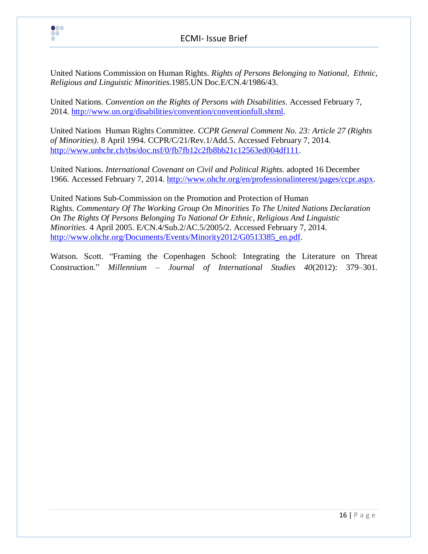

 $\bullet\bullet\bullet$ 8

United Nations Commission on Human Rights. *Rights of Persons Belonging to National, Ethnic, Religious and Linguistic Minorities.*1985.UN Doc.E/CN.4/1986/43.

United Nations. *Convention on the Rights of Persons with Disabilities*. Accessed February 7, 2014. [http://www.un.org/disabilities/convention/conventionfull.shtml.](http://www.un.org/disabilities/convention/conventionfull.shtml)

United Nations Human Rights Committee. *CCPR General Comment No. 23: Article 27 (Rights of Minorities)*. 8 April 1994. CCPR/C/21/Rev.1/Add.5. Accessed February 7, 2014. [http://www.unhchr.ch/tbs/doc.nsf/0/fb7fb12c2fb8bb21c12563ed004df111.](http://www.unhchr.ch/tbs/doc.nsf/0/fb7fb12c2fb8bb21c12563ed004df111)

United Nations. *International Covenant on Civil and Political Rights*. adopted 16 December 1966. Accessed February 7, 2014. [http://www.ohchr.org/en/professionalinterest/pages/ccpr.aspx.](http://www.ohchr.org/en/professionalinterest/pages/ccpr.aspx)

United Nations Sub-Commission on the Promotion and Protection of Human Rights. *Commentary Of The Working Group On Minorities To The United Nations Declaration On The Rights Of Persons Belonging To National Or Ethnic, Religious And Linguistic Minorities*. 4 April 2005. E/CN.4/Sub.2/AC.5/2005/2. Accessed February 7, 2014. [http://www.ohchr.org/Documents/Events/Minority2012/G0513385\\_en.pdf.](http://www.ohchr.org/Documents/Events/Minority2012/G0513385_en.pdf)

Watson. Scott. "Framing the Copenhagen School: Integrating the Literature on Threat Construction.‖ *Millennium – Journal of International Studies 40*(2012): 379–301.

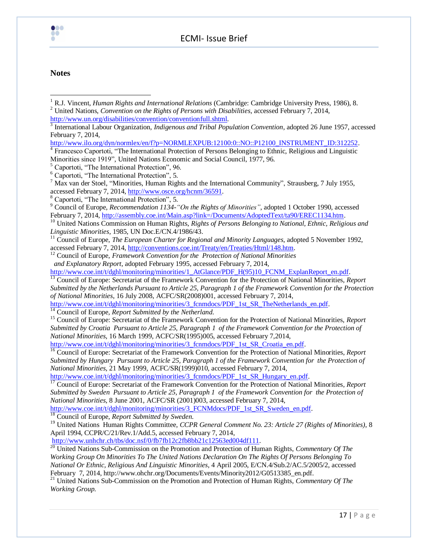

#### **Notes**

 $\overline{\phantom{a}}$ 

<sup>8</sup> Caportoti, "The International Protection", 5.

<sup>9</sup> Council of Europe, *Recommendation 1134-"On the Rights of Minorities"*, adopted 1 October 1990, accessed February 7, 2014[, http://assembly.coe.int/Main.asp?link=/Documents/AdoptedText/ta90/EREC1134.htm.](http://assembly.coe.int/Main.asp?link=/Documents/AdoptedText/ta90/EREC1134.htm)

<sup>10</sup> United Nations Commission on Human Rights, *Rights of Persons Belonging to National, Ethnic, Religious and Linguistic Minorities,* 1985, UN Doc.E/CN.4/1986/43.

<sup>11</sup> Council of Europe, *The European Charter for Regional and Minority Languages*, adopted 5 November 1992, accessed February 7, 2014, [http://conventions.coe.int/Treaty/en/Treaties/Html/148.htm.](http://conventions.coe.int/Treaty/en/Treaties/Html/148.htm)

<sup>12</sup> Council of Europe, *Framework Convention for the Protection of National Minorities and Explanatory Report*, adopted February 1995, accessed February 7, 2014,

[http://www.coe.int/t/dghl/monitoring/minorities/1\\_AtGlance/PDF\\_H\(95\)10\\_FCNM\\_ExplanReport\\_en.pdf.](http://www.coe.int/t/dghl/monitoring/minorities/1_AtGlance/PDF_H(95)10_FCNM_ExplanReport_en.pdf)

<sup>13</sup> Council of Europe: Secretariat of the Framework Convention for the Protection of National Minorities, *Report Submitted by the Netherlands Pursuant to Article 25, Paragraph 1 of the Framework Convention for the Protection of National Minorities*, 16 July 2008, ACFC/SR(2008)001, accessed February 7, 2014,

[http://www.coe.int/t/dghl/monitoring/minorities/3\\_fcnmdocs/PDF\\_1st\\_SR\\_TheNetherlands\\_en.pdf.](http://www.coe.int/t/dghl/monitoring/minorities/3_fcnmdocs/PDF_1st_SR_TheNetherlands_en.pdf)

<sup>14</sup> Council of Europe, *Report Submitted by the Netherland.*

<sup>15</sup> Council of Europe: Secretariat of the Framework Convention for the Protection of National Minorities, *Report Submitted by Croatia Pursuant to Article 25, Paragraph 1 of the Framework Convention for the Protection of National Minorities*, 16 March 1999, ACFC/SR(1995)005, accessed February 7,2014,

[http://www.coe.int/t/dghl/monitoring/minorities/3\\_fcnmdocs/PDF\\_1st\\_SR\\_Croatia\\_en.pdf.](http://www.coe.int/t/dghl/monitoring/minorities/3_fcnmdocs/PDF_1st_SR_Croatia_en.pdf)

<sup>16</sup> Council of Europe: Secretariat of the Framework Convention for the Protection of National Minorities, *Report Submitted by Hungary Pursuant to Article 25, Paragraph 1 of the Framework Convention for the Protection of National Minorities*, 21 May 1999, ACFC/SR(1999)010, accessed February 7, 2014,

http://www.coe.int/t/dghl/monitoring/minorities/3 fcnmdocs/PDF 1st SR Hungary en.pdf.

<sup>17</sup> Council of Europe: Secretariat of the Framework Convention for the Protection of National Minorities, Report *Submitted by Sweden Pursuant to Article 25, Paragraph 1 of the Framework Convention for the Protection of National Minorities*, 8 June 2001, ACFC/SR (2001)003, accessed February 7, 2014,

[http://www.coe.int/t/dghl/monitoring/minorities/3\\_FCNMdocs/PDF\\_1st\\_SR\\_Sweden\\_en.pdf.](http://www.coe.int/t/dghl/monitoring/minorities/3_FCNMdocs/PDF_1st_SR_Sweden_en.pdf)

<sup>18</sup> Council of Europe, *Report Submitted by Sweden.*

<sup>19</sup> United Nations Human Rights Committee, *CCPR General Comment No. 23: Article 27 (Rights of Minorities)*, 8 April 1994, CCPR/C/21/Rev.1/Add.5, accessed February 7, 2014,

[http://www.unhchr.ch/tbs/doc.nsf/0/fb7fb12c2fb8bb21c12563ed004df111.](http://www.unhchr.ch/tbs/doc.nsf/0/fb7fb12c2fb8bb21c12563ed004df111)

<sup>20</sup> United Nations Sub-Commission on the Promotion and Protection of Human Rights, *Commentary Of The Working Group On Minorities To The United Nations Declaration On The Rights Of Persons Belonging To National Or Ethnic, Religious And Linguistic Minorities*, 4 April 2005, E/CN.4/Sub.2/AC.5/2005/2, accessed February 7, 2014, http://www.ohchr.org/Documents/Events/Minority2012/G0513385\_en.pdf.

<sup>21</sup> United Nations Sub-Commission on the Promotion and Protection of Human Rights, *Commentary Of The Working Group.*

<sup>1</sup> R.J. Vincent, *Human Rights and International Relations* (Cambridge: Cambridge University Press, 1986), 8. <sup>2</sup> United Nations, *Convention on the Rights of Persons with Disabilities*, accessed February 7, 2014,

[http://www.un.org/disabilities/convention/conventionfull.shtml.](http://www.un.org/disabilities/convention/conventionfull.shtml)

<sup>&</sup>lt;sup>3</sup> International Labour Organization, *Indigenous and Tribal Population Convention*, adopted 26 June 1957, accessed February 7, 2014,

[http://www.ilo.org/dyn/normlex/en/f?p=NORMLEXPUB:12100:0::NO::P12100\\_INSTRUMENT\\_ID:312252.](http://www.ilo.org/dyn/normlex/en/f?p=NORMLEXPUB:12100:0::NO::P12100_INSTRUMENT_ID:312252)

<sup>&</sup>lt;sup>4</sup> Francesco Caportoti, "The International Protection of Persons Belonging to Ethnic, Religious and Linguistic Minorities since 1919", United Nations Economic and Social Council, 1977, 96.

 $<sup>5</sup>$  Caportoti, "The International Protection", 96.</sup>

 $6$  Caportoti, "The International Protection", 5.

 $<sup>7</sup>$  Max van der Stoel, "Minorities, Human Rights and the International Community", Strausberg, 7 July 1955,</sup> accessed February 7, 2014, [http://www.osce.org/hcnm/36591.](http://www.osce.org/hcnm/36591)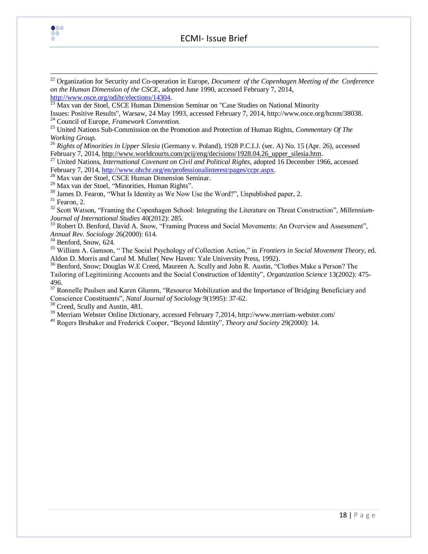

 $\overline{\phantom{a}}$ 

<sup>22</sup> [Organization for Security and Co-operation in Europe,](http://www.osce.org/) *Document of the Copenhagen Meeting of the Conference on the Human Dimension of the CSCE*, adopted June 1990, accessed February 7, 2014, [http://www.osce.org/odihr/elections/14304.](http://www.osce.org/odihr/elections/14304)

 $\frac{23}{23}$  Max van der Stoel, CSCE Human Dimension Seminar on "Case Studies on National Minority

Issues: Positive Results", Warsaw, 24 May 1993, accessed February 7, 2014, http://www.osce.org/hcnm/38038. <sup>24</sup> Council of Europe, *Framework Convention.*

<sup>25</sup> United Nations Sub-Commission on the Promotion and Protection of Human Rights, *Commentary Of The Working Group.*

<sup>26</sup> *Rights of Minorities in Upper Silesia* (Germany v. Poland), 1928 P.C.I.J. (ser. A) No. 15 (Apr. 26), accessed February 7, 2014[, http://www.worldcourts.com/pcij/eng/decisions/1928.04.26\\_upper\\_silesia.htm.](http://www.worldcourts.com/pcij/eng/decisions/1928.04.26_upper_silesia.htm)

<sup>27</sup> United Nations, *International Covenant on Civil and Political Rights*, adopted 16 December 1966, accessed February 7, 2014[, http://www.ohchr.org/en/professionalinterest/pages/ccpr.aspx.](http://www.ohchr.org/en/professionalinterest/pages/ccpr.aspx)

<sup>28</sup> Max van der Stoel, CSCE Human Dimension Seminar.

<sup>29</sup> Max van der Stoel, "Minorities, Human Rights".

 $30$  James D. Fearon, "What Is Identity as We Now Use the Word?", Unpublished paper, 2.

 $31$  Fearon, 2.

<sup>32</sup> Scott Watson, "Framing the Copenhagen School: Integrating the Literature on Threat Construction", *Millennium*-*Journal of International Studies* 40(2012): 285.

<sup>33</sup> Robert D. Benford, David A. Snow, "Framing Process and Social Movements: An Overview and Assessment", *Annual Rev. Sociology* 26(2000): 614.

 $34$  Benford, Snow, 624.

<sup>35</sup> William A. Gamson, "The Social Psychology of Collection Action," in *Frontiers in Social Movement Theory*, ed. Aldon D. Morris and Carol M. Muller( New Haven: Yale University Press, 1992).

<sup>36</sup> Benford, Snow; Douglas W.E Creed, Maureen A. Scully and John R. Austin, "Clothes Make a Person? The Tailoring of Legitimizing Accounts and the Social Construction of Identity", *Organization Science* 13(2002): 475-496.

<sup>37</sup> Ronnelle Paulsen and Karen Glumm, "Resource Mobilization and the Importance of Bridging Beneficiary and Conscience Constituents", *Natal Journal of Sociology* 9(1995): 37-62.

<sup>38</sup> Creed, Scully and Austin, 481.

<sup>39</sup> Merriam Webster Online Dictionary, accessed February 7,2014, http://www.merriam-webster.com/

<sup>40</sup> Rogers Brubaker and Frederick Cooper, "Beyond Identity", *Theory and Society* 29(2000): 14.